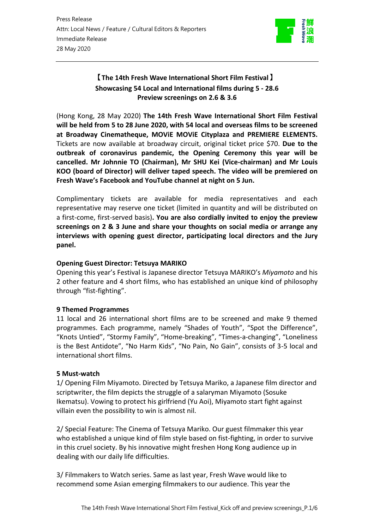

## **【The 14th Fresh Wave International Short Film Festival】 Showcasing 54 Local and International films during 5 - 28.6 Preview screenings on 2.6 & 3.6**

(Hong Kong, 28 May 2020) **The 14th Fresh Wave International Short Film Festival will be held from 5 to 28 June 2020, with 54 local and overseas films to be screened at Broadway Cinematheque, MOViE MOViE Cityplaza and PREMIERE ELEMENTS.** Tickets are now available at broadway circuit, original ticket price \$70. **Due to the outbreak of coronavirus pandemic, the Opening Ceremony this year will be cancelled. Mr Johnnie TO (Chairman), Mr SHU Kei (Vice-chairman) and Mr Louis KOO (board of Director) will deliver taped speech. The video will be premiered on Fresh Wave's Facebook and YouTube channel at night on 5 Jun.**

Complimentary tickets are available for media representatives and each representative may reserve one ticket (limited in quantity and will be distributed on a first-come, first-served basis)**. You are also cordially invited to enjoy the preview screenings on 2 & 3 June and share your thoughts on social media or arrange any interviews with opening guest director, participating local directors and the Jury panel.**

### **Opening Guest Director: Tetsuya MARIKO**

Opening this year's Festival is Japanese director Tetsuya MARIKO's *Miyamoto* and his 2 other feature and 4 short films, who has established an unique kind of philosophy through "fist-fighting".

### **9 Themed Programmes**

11 local and 26 international short films are to be screened and make 9 themed programmes. Each programme, namely "Shades of Youth", "Spot the Difference", "Knots Untied", "Stormy Family", "Home-breaking", "Times-a-changing", "Loneliness is the Best Antidote", "No Harm Kids", "No Pain, No Gain", consists of 3-5 local and international short films.

### **5 Must-watch**

1/ Opening Film Miyamoto. Directed by Tetsuya Mariko, a Japanese film director and scriptwriter, the film depicts the struggle of a salaryman Miyamoto (Sosuke Ikematsu). Vowing to protect his girlfriend (Yu Aoi), Miyamoto start fight against villain even the possibility to win is almost nil.

2/ Special Feature: The Cinema of Tetsuya Mariko. Our guest filmmaker this year who established a unique kind of film style based on fist-fighting, in order to survive in this cruel society. By his innovative might freshen Hong Kong audience up in dealing with our daily life difficulties.

3/ Filmmakers to Watch series. Same as last year, Fresh Wave would like to recommend some Asian emerging filmmakers to our audience. This year the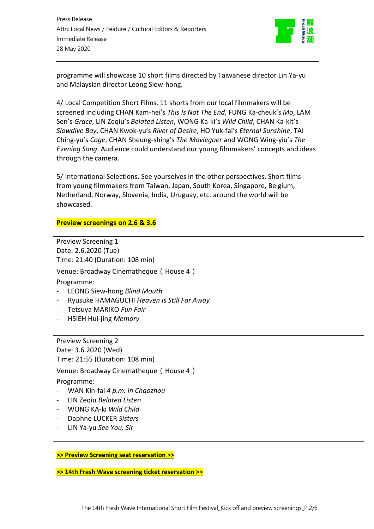

programme will showcase 10 short films directed by Taiwanese director Lin Ya-yu and Malaysian director Leong Siew-hong.

4/ Local Competition Short Films. 11 shorts from our local filmmakers will be screened including CHAN Kam-hei's *This Is Not The End*, FUNG Ka-cheuk's *Mo*, LAM Sen's *Grace*, LIN Zeqiu's *Belated Listen*, WONG Ka-ki's *Wild Child*, CHAN Ka-kit's *Slowdive Bay*, CHAN Kwok-yu's *River of Desire*, HO Yuk-fai's *Eternal Sunshine*, TAI Ching-yu's *Cage*, CHAN Sheung-shing's *The Moviegoer* and WONG Wing-yiu's *The Evening Song*. Audience could understand our young filmmakers' concepts and ideas through the camera.

5/ International Selections. See yourselves in the other perspectives. Short films from young filmmakers from Taiwan, Japan, South Korea, Singapore, Belgium, Netherland, Norway, Slovenia, India, Uruguay, etc. around the world will be showcased.

### **Preview screenings on 2.6 & 3.6**

Preview Screening 1 Date: 2.6.2020 (Tue) Time: 21:40 (Duration: 108 min) Venue: Broadway Cinematheque(House 4) Programme: - LEONG Siew-hong *Blind Mouth* - Ryusuke HAMAGUCHI *Heaven Is Still Far Away* - Tetsuya MARIKO *Fun Fair* - HSIEH Hui-jing *Memory* Preview Screening 2 Date: 3.6.2020 (Wed) Time: 21:55 (Duration: 108 min) Venue: Broadway Cinematheque(House 4) Programme: - WAN Kin-fai *4 p.m. in Chaozhou* - LIN Zeqiu *Belated Listen* - WONG KA-ki *Wild Child* - Daphne LUCKER *Sisters*

- LIN Ya-yu *See You, Sir*

### **[>> Preview Screening seat reservation >>](https://forms.gle/EbADECyZ7M7PDnBF6)**

**[>> 14th Fresh Wave screening ticket reservation >>](https://forms.gle/rCqjUWUSq2gRpb3Y9)**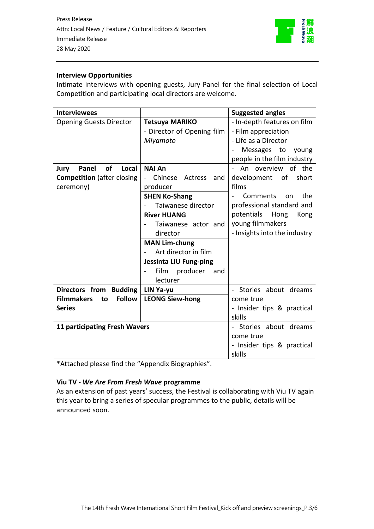

### **Interview Opportunities**

Intimate interviews with opening guests, Jury Panel for the final selection of Local Competition and participating local directors are welcome.

| <b>Interviewees</b>                      |                                         | <b>Suggested angles</b>       |
|------------------------------------------|-----------------------------------------|-------------------------------|
| <b>Opening Guests Director</b>           | <b>Tetsuya MARIKO</b>                   | - In-depth features on film   |
|                                          | - Director of Opening film              | - Film appreciation           |
|                                          | Miyamoto                                | - Life as a Director          |
|                                          |                                         | Messages to<br>young          |
|                                          |                                         | people in the film industry   |
| of<br>Local<br>Jury<br>Panel             | <b>NAI An</b>                           | An overview of the            |
| <b>Competition</b> (after closing        | Chinese<br>Actress<br>and               | development of<br>short       |
| ceremony)                                | producer                                | films                         |
|                                          | <b>SHEN Ko-Shang</b>                    | the<br><b>Comments</b><br>on. |
|                                          | Taiwanese director<br>$\qquad \qquad -$ | professional standard and     |
|                                          | <b>River HUANG</b>                      | potentials<br>Hong<br>Kong    |
|                                          | Taiwanese actor and                     | young filmmakers              |
|                                          | director                                | - Insights into the industry  |
|                                          | <b>MAN Lim-chung</b>                    |                               |
|                                          | Art director in film                    |                               |
|                                          | <b>Jessinta LIU Fung-ping</b>           |                               |
|                                          | producer<br>Film<br>and                 |                               |
|                                          | lecturer                                |                               |
| Directors from Budding                   | LIN Ya-yu                               | - Stories about dreams        |
| <b>Filmmakers</b><br><b>Follow</b><br>to | <b>LEONG Siew-hong</b>                  | come true                     |
| <b>Series</b>                            |                                         | - Insider tips & practical    |
|                                          |                                         | skills                        |
| <b>11 participating Fresh Wavers</b>     |                                         | - Stories about dreams        |
|                                          |                                         | come true                     |
|                                          |                                         | - Insider tips & practical    |
|                                          |                                         | skills                        |

\*Attached please find the "Appendix Biographies".

### **Viu TV -** *We Are From Fresh Wave* **programme**

As an extension of past years' success, the Festival is collaborating with Viu TV again this year to bring a series of specular programmes to the public, details will be announced soon.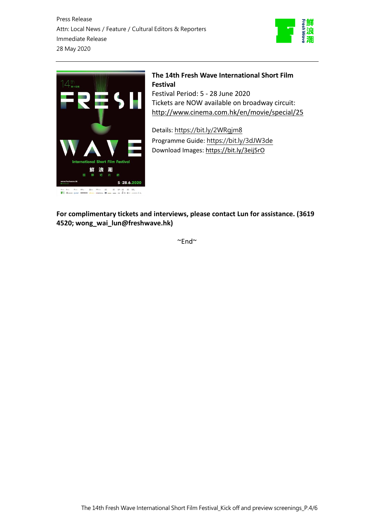Press Release Attn: Local News / Feature / Cultural Editors & Reporters Immediate Release 28 May 2020





# **The 14th Fresh Wave International Short Film Festival**

Festival Period: 5 - 28 June 2020 Tickets are NOW available on broadway circuit: <http://www.cinema.com.hk/en/movie/special/25>

Details: https://bit.ly/2WRgjm8 Programme Guide: <https://bit.ly/3dJW3de> Download Images: <https://bit.ly/3eij5rO>

**For complimentary tickets and interviews, please contact Lun for assistance. (3619 4520; wong\_wai\_lun@freshwave.hk)** 

 $~\sim$ End $~\sim$